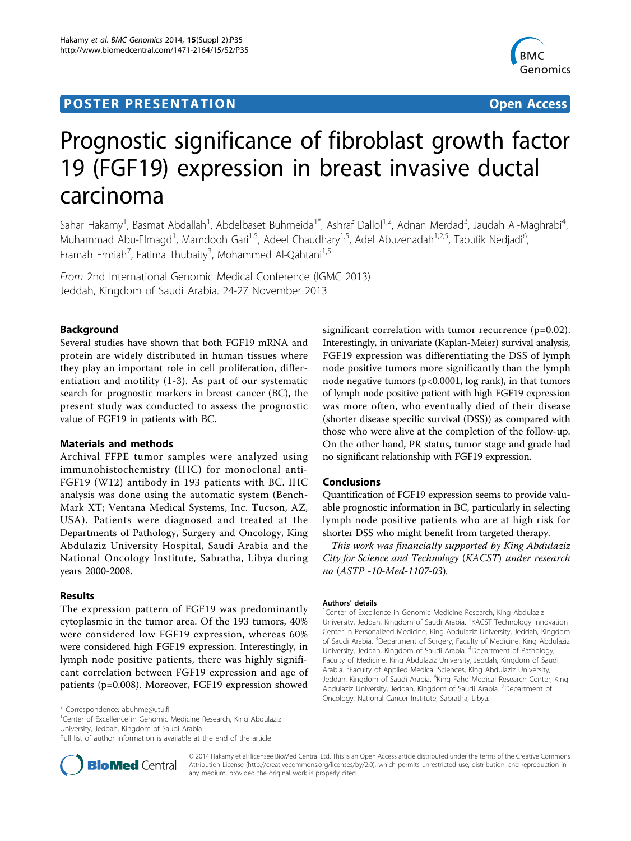# **POSTER PRESENTATION CONSUMING ACCESS**



# Prognostic significance of fibroblast growth factor 19 (FGF19) expression in breast invasive ductal carcinoma

Sahar Hakamy<sup>1</sup>, Basmat Abdallah<sup>1</sup>, Abdelbaset Buhmeida<sup>1\*</sup>, Ashraf Dallol<sup>1,2</sup>, Adnan Merdad<sup>3</sup>, Jaudah Al-Maghrabi<sup>4</sup> , Muhammad Abu-Elmagd<sup>1</sup>, Mamdooh Gari<sup>1,5</sup>, Adeel Chaudhary<sup>1,5</sup>, Adel Abuzenadah<sup>1,2,5</sup>, Taoufik Nedjadi<sup>6</sup> , Eramah Ermiah<sup>7</sup>, Fatima Thubaity<sup>3</sup>, Mohammed Al-Qahtani<sup>1,5</sup>

From 2nd International Genomic Medical Conference (IGMC 2013) Jeddah, Kingdom of Saudi Arabia. 24-27 November 2013

# Background

Several studies have shown that both FGF19 mRNA and protein are widely distributed in human tissues where they play an important role in cell proliferation, differentiation and motility (1-3). As part of our systematic search for prognostic markers in breast cancer (BC), the present study was conducted to assess the prognostic value of FGF19 in patients with BC.

## Materials and methods

Archival FFPE tumor samples were analyzed using immunohistochemistry (IHC) for monoclonal anti-FGF19 (W12) antibody in 193 patients with BC. IHC analysis was done using the automatic system (Bench-Mark XT; Ventana Medical Systems, Inc. Tucson, AZ, USA). Patients were diagnosed and treated at the Departments of Pathology, Surgery and Oncology, King Abdulaziz University Hospital, Saudi Arabia and the National Oncology Institute, Sabratha, Libya during years 2000-2008.

#### Results

The expression pattern of FGF19 was predominantly cytoplasmic in the tumor area. Of the 193 tumors, 40% were considered low FGF19 expression, whereas 60% were considered high FGF19 expression. Interestingly, in lymph node positive patients, there was highly significant correlation between FGF19 expression and age of patients (p=0.008). Moreover, FGF19 expression showed

significant correlation with tumor recurrence (p=0.02). Interestingly, in univariate (Kaplan-Meier) survival analysis, FGF19 expression was differentiating the DSS of lymph node positive tumors more significantly than the lymph node negative tumors (p<0.0001, log rank), in that tumors of lymph node positive patient with high FGF19 expression was more often, who eventually died of their disease (shorter disease specific survival (DSS)) as compared with those who were alive at the completion of the follow-up. On the other hand, PR status, tumor stage and grade had no significant relationship with FGF19 expression.

## Conclusions

Quantification of FGF19 expression seems to provide valuable prognostic information in BC, particularly in selecting lymph node positive patients who are at high risk for shorter DSS who might benefit from targeted therapy.

This work was financially supported by King Abdulaziz City for Science and Technology (KACST) under research no (ASTP -10-Med-1107-03).

#### Authors' details <sup>1</sup>

<sup>1</sup>Center of Excellence in Genomic Medicine Research, King Abdulaziz University, Jeddah, Kingdom of Saudi Arabia. <sup>2</sup>KACST Technology Innovation Center in Personalized Medicine, King Abdulaziz University, Jeddah, Kingdom of Saudi Arabia. <sup>3</sup>Department of Surgery, Faculty of Medicine, King Abdulaziz University, Jeddah, Kingdom of Saudi Arabia. <sup>4</sup> Department of Pathology, Faculty of Medicine, King Abdulaziz University, Jeddah, Kingdom of Saudi Arabia. <sup>5</sup> Faculty of Applied Medical Sciences, King Abdulaziz University, Jeddah, Kingdom of Saudi Arabia. <sup>6</sup>King Fahd Medical Research Center, King Abdulaziz University, Jeddah, Kingdom of Saudi Arabia. <sup>7</sup>Department of Oncology, National Cancer Institute, Sabratha, Libya.

\* Correspondence: [abuhme@utu.fi](mailto:abuhme@utu.fi)

<sup>1</sup>Center of Excellence in Genomic Medicine Research, King Abdulaziz University, Jeddah, Kingdom of Saudi Arabia

Full list of author information is available at the end of the article



© 2014 Hakamy et al; licensee BioMed Central Ltd. This is an Open Access article distributed under the terms of the Creative Commons Attribution License [\(http://creativecommons.org/licenses/by/2.0](http://creativecommons.org/licenses/by/2.0)), which permits unrestricted use, distribution, and reproduction in any medium, provided the original work is properly cited.